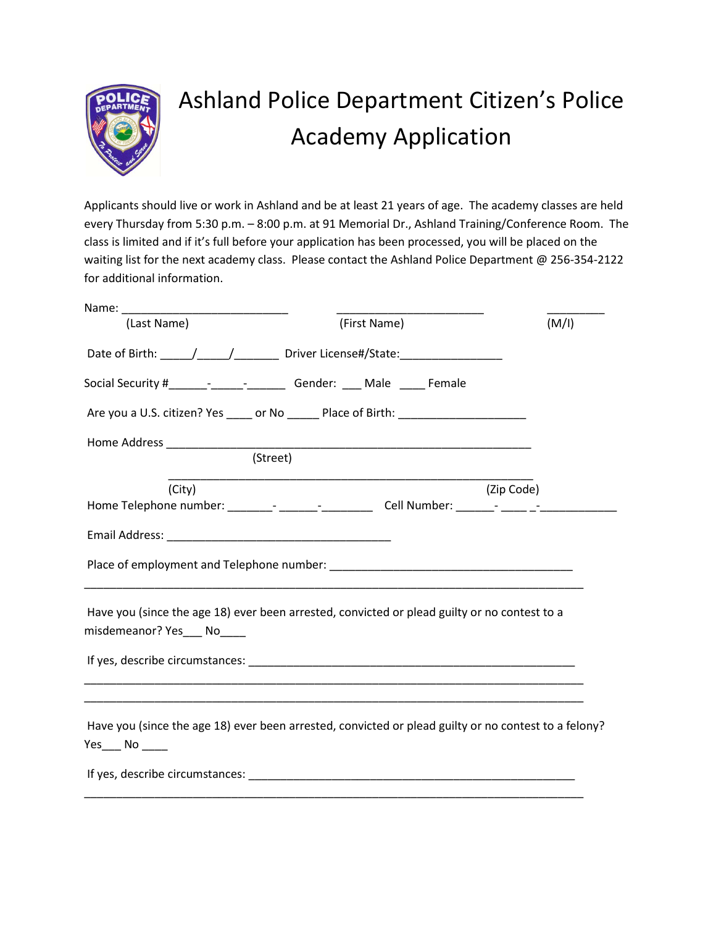

## Ashland Police Department Citizen's Police Academy Application

Applicants should live or work in Ashland and be at least 21 years of age. The academy classes are held every Thursday from 5:30 p.m. – 8:00 p.m. at 91 Memorial Dr., Ashland Training/Conference Room. The class is limited and if it's full before your application has been processed, you will be placed on the waiting list for the next academy class. Please contact the Ashland Police Department @ 256-354-2122 for additional information.

| (Last Name)                | (First Name)                                                                                                                                                                                                                   | (M/I)      |
|----------------------------|--------------------------------------------------------------------------------------------------------------------------------------------------------------------------------------------------------------------------------|------------|
|                            | Date of Birth: _____/_____/____________ Driver License#/State: _________________                                                                                                                                               |            |
|                            | Social Security #____________________________Gender: _____ Male ______ Female                                                                                                                                                  |            |
|                            | Are you a U.S. citizen? Yes _____ or No ______ Place of Birth: _________________                                                                                                                                               |            |
|                            |                                                                                                                                                                                                                                |            |
|                            | (Street)                                                                                                                                                                                                                       |            |
| (City)                     |                                                                                                                                                                                                                                | (Zip Code) |
|                            | Home Telephone number: ________- _______-_____________Cell Number: _______- ________________________                                                                                                                           |            |
|                            |                                                                                                                                                                                                                                |            |
|                            |                                                                                                                                                                                                                                |            |
| misdemeanor? Yes___ No____ | Have you (since the age 18) ever been arrested, convicted or plead guilty or no contest to a                                                                                                                                   |            |
|                            |                                                                                                                                                                                                                                |            |
|                            |                                                                                                                                                                                                                                |            |
| $Yes$ No ____              | Have you (since the age 18) ever been arrested, convicted or plead guilty or no contest to a felony?                                                                                                                           |            |
|                            | If yes, describe circumstances: example and a series of the series of the series of the series of the series of the series of the series of the series of the series of the series of the series of the series of the series o |            |
|                            |                                                                                                                                                                                                                                |            |